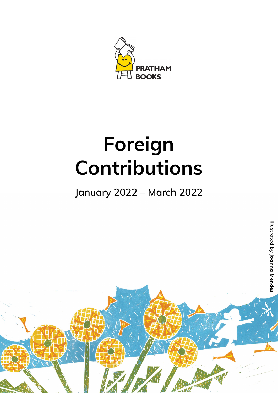

## **Foreign Contributions**

## Illustrated by $\Omega$ trate  $\Omega$  **Joanna Mendes** $\boldsymbol{\Omega}$

 $\mu$  . The same  $\mu$ and the most case approaches between



**January 2022 – March 2022**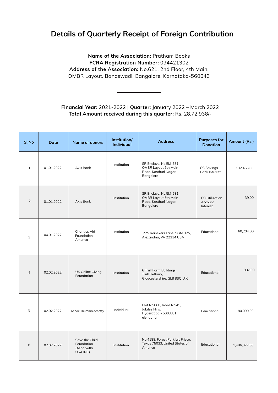## **Details of Quarterly Receipt of Foreign Contribution**

**Name of the Association:** Pratham Books **FCRA Registration Number:** 094421302 **Address of the Association:** No.621, 2nd Floor, 4th Main, OMBR Layout, Banaswadi, Bangalore, Karnataka-560043

**Financial Year:** 2021-2022 | **Quarter:** January 2022 – March 2022 **Total Amount received during this quarter:** Rs. 28,72,938/-

| <b>SI.No</b>   | Date       | <b>Name of donors</b>                                   | Institution/<br><b>Individual</b> | <b>Address</b>                                                                               | <b>Purposes for</b><br><b>Donation</b> | Amount (Rs.) |
|----------------|------------|---------------------------------------------------------|-----------------------------------|----------------------------------------------------------------------------------------------|----------------------------------------|--------------|
|                | 01.01.2022 | Axis Bank                                               | Institution                       | SR Enclave, No.5M-631,<br><b>OMBR Layout, 5th Main</b><br>Road, Kasthuri Nagar,<br>Bangalore | Q3 Savings<br><b>Bank Interest</b>     | 132,456.00   |
| $\overline{2}$ | 01.01.2022 | <b>Axis Bank</b>                                        | Institution                       | SR Enclave, No.5M-631,<br><b>OMBR Layout, 5th Main</b><br>Road, Kasthuri Nagar,<br>Bangalore | Q3 Utilization<br>Account<br>Interest  | 39.00        |
|                | 04.01.2022 | <b>Charities Aid</b><br>Foundation<br>America           | Institution                       | 225 Reinekers Lane, Suite 375,<br>Alexandria, VA 22314 USA                                   | Educational                            | 60,204.00    |
| $\overline{4}$ | 02.02.2022 | <b>UK Online Giving</b><br>Foundation                   | Institution                       | 6 Trull Farm Buildings,<br>Trull, Tetbury,<br>Gloucestershire, GL8 8SQ U.K                   | Educational                            | 887.00       |
| 5              | 02.02.2022 | <b>Ashok Thummalachetty</b>                             | Individual                        | Plot No.868, Road No.45,<br>Jubilee Hills,<br>Hyderabad - 50033, T<br>elengana               | Educational                            | 80,000.00    |
| 6              | 02.02.2022 | Save the Child<br>Foundation<br>(Ashajyothi<br>USA INC) | Institution                       | No.4188, Forest Park Ln, Frisco,<br>Texas 75033, United States of<br>America                 | Educational                            | 1,486,022.00 |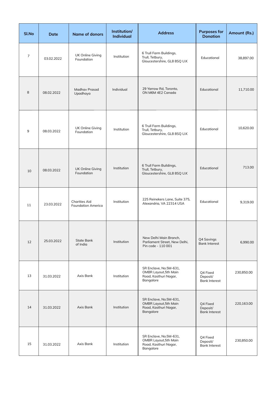| <b>SI.No</b> | Date       | <b>Name of donors</b>                             | Institution/<br><b>Individual</b> | <b>Address</b>                                                                               | <b>Purposes for</b><br><b>Donation</b>       | Amount (Rs.) |
|--------------|------------|---------------------------------------------------|-----------------------------------|----------------------------------------------------------------------------------------------|----------------------------------------------|--------------|
|              | 03.02.2022 | <b>UK Online Giving</b><br>Foundation             | Institution                       | 6 Trull Farm Buildings,<br>Trull, Tetbury,<br>Gloucestershire, GL8 8SQ U.K                   | Educational                                  | 38,897.00    |
| 8            | 08.02.2022 | <b>Madhav Prasad</b><br>Upadhaya                  | Individual                        | 29 Yarrow Rd, Toronto,<br>ON M6M 4E2 Canada                                                  | Educational                                  | 11,710.00    |
| 9            | 08.03.2022 | <b>UK Online Giving</b><br>Foundation             | Institution                       | 6 Trull Farm Buildings,<br>Trull, Tetbury,<br>Gloucestershire, GL8 8SQ U.K                   | Educational                                  | 10,620.00    |
| 10           | 08.03.2022 | <b>UK Online Giving</b><br>Foundation             | Institution                       | 6 Trull Farm Buildings,<br>Trull, Tetbury,<br>Gloucestershire, GL8 8SQ U.K                   | Educational                                  | 713.00       |
| 11           | 23.03.2022 | <b>Charities Aid</b><br><b>Foundation America</b> | Institution                       | 225 Reinekers Lane, Suite 375,<br>Alexandria, VA 22314 USA                                   | Educational                                  | 9,319.00     |
| 12           | 25.03.2022 | <b>State Bank</b><br>of India                     | Institution                       | New Delhi Main Branch,<br>Parliament Street, New Delhi,<br>Pin code - 110 001                | Q4 Savings<br><b>Bank Interest</b>           | 6,990.00     |
| 13           | 31.03.2022 | <b>Axis Bank</b>                                  | Institution                       | SR Enclave, No.5M-631,<br><b>OMBR Layout, 5th Main</b><br>Road, Kasthuri Nagar,<br>Bangalore | Q4 Fixed<br>Deposit/<br><b>Bank Interest</b> | 230,850.00   |
| 14           | 31.03.2022 | Axis Bank                                         | Institution                       | SR Enclave, No.5M-631,<br><b>OMBR Layout, 5th Main</b><br>Road, Kasthuri Nagar,<br>Bangalore | Q4 Fixed<br>Deposit/<br><b>Bank Interest</b> | 220,163.00   |
| 15           | 31.03.2022 | Axis Bank                                         | Institution                       | SR Enclave, No.5M-631,<br><b>OMBR Layout, 5th Main</b><br>Road, Kasthuri Nagar,<br>Bangalore | Q4 Fixed<br>Deposit/<br><b>Bank Interest</b> | 230,850.00   |